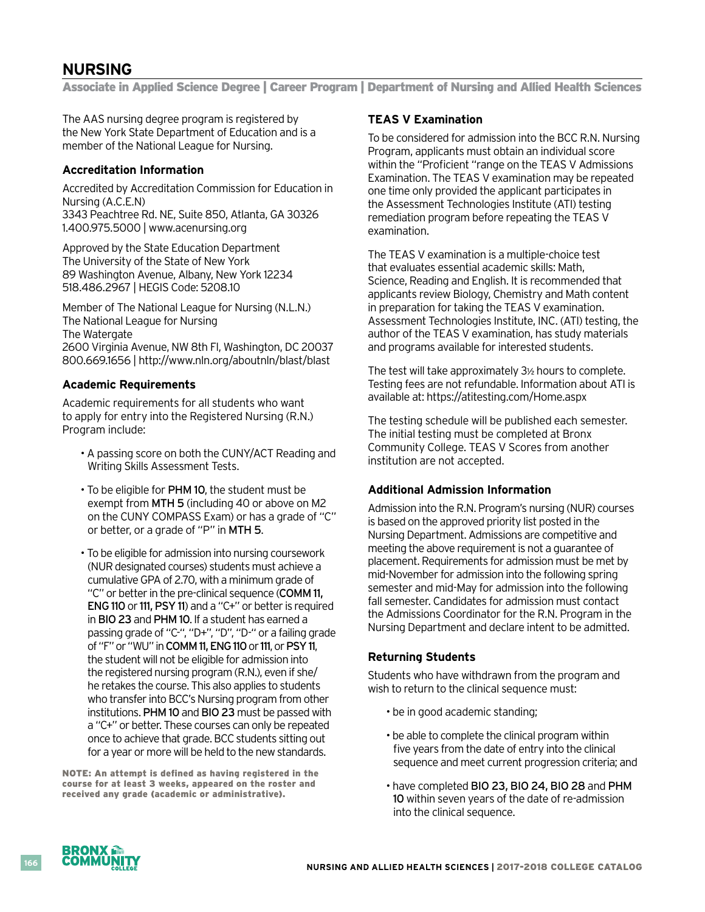# **NURSING**

Associate in Applied Science Degree | Career Program | Department of Nursing and Allied Health Sciences

The AAS nursing degree program is registered by the New York State Department of Education and is a member of the National League for Nursing.

#### **Accreditation Information**

Accredited by Accreditation Commission for Education in Nursing (A.C.E.N) 3343 Peachtree Rd. NE, Suite 850, Atlanta, GA 30326 1.400.975.5000 | www.acenursing.org

Approved by the State Education Department The University of the State of New York 89 Washington Avenue, Albany, New York 12234 518.486.2967 | HEGIS Code: 5208.10

Member of The National League for Nursing (N.L.N.) The National League for Nursing The Watergate 2600 Virginia Avenue, NW 8th Fl, Washington, DC 20037 800.669.1656 | http://www.nln.org/aboutnln/blast/blast

#### **Academic Requirements**

Academic requirements for all students who want to apply for entry into the Registered Nursing (R.N.) Program include:

- A passing score on both the CUNY/ACT Reading and Writing Skills Assessment Tests.
- To be eligible for PHM 10, the student must be exempt from MTH 5 (including 40 or above on M2 on the CUNY COMPASS Exam) or has a grade of "C" or better, or a grade of "P" in MTH 5.
- To be eligible for admission into nursing coursework (NUR designated courses) students must achieve a cumulativeGPAof 2.70, with a minimum grade of "C" or better in the pre-clinical sequence (COMM 11, ENG 110 or 111, PSY 11) and a "C+" or better is required in BIO 23 and PHM 10. If a student has earned a passing grade of "C-", "D+", "D", "D-" or a failing grade of "F" or "WU" in COMM 11, ENG 110 or 111, or PSY 11, the student will not be eligible for admission into the registered nursing program (R.N.), even if she/ he retakes the course. This also applies to students who transfer into BCC's Nursing program from other institutions. PHM 10 and BIO 23 must be passed with a "C+" or better. These courses can only be repeated once to achieve that grade. BCC students sitting out for a year or more will be held to the new standards.

NOTE: An attempt is defined as having registered in the course for at least 3 weeks, appeared on the roster and received any grade (academic or administrative).

#### **TEAS V Examination**

To be considered for admission into the BCC R.N. Nursing Program, applicants must obtain an individual score within the "Proficient "range on the TEAS V Admissions Examination. The TEAS V examination may be repeated one time only provided the applicant participates in the Assessment Technologies Institute (ATI) testing remediation program before repeating the TEAS V examination.

The TEAS V examination is a multiple-choice test that evaluates essential academic skills: Math, Science, Reading and English. It is recommended that applicants review Biology, Chemistry and Math content in preparation for taking the TEAS V examination. Assessment Technologies Institute, INC. (ATI) testing, the author of the TEAS V examination, has study materials and programs available for interested students.

The test will take approximately  $3<sub>2</sub>$  hours to complete. Testing fees are not refundable. Information about ATI is available at: https://atitesting.com/Home.aspx

The testing schedule will be published each semester. The initial testing must be completed at Bronx Community College. TEAS V Scores from another institution are not accepted.

### **Additional Admission Information**

Admission into the R.N. Program's nursing (NUR) courses is based on the approved priority list posted in the Nursing Department. Admissions are competitive and meeting the above requirement is not a guarantee of placement. Requirements for admission must be met by mid-November for admission into the following spring semester and mid-May for admission into the following fall semester. Candidates for admission must contact the Admissions Coordinator for the R.N. Program in the Nursing Department and declare intent to be admitted.

#### **Returning Students**

Students who have withdrawn from the program and wish to return to the clinical sequence must:

- be in good academic standing;
- be able to complete the clinical program within five years from the date of entry into the clinical sequence and meet current progression criteria; and
- have completed BIO 23, BIO 24, BIO 28 and PHM 10 within seven years of the date of re-admission into the clinical sequence.



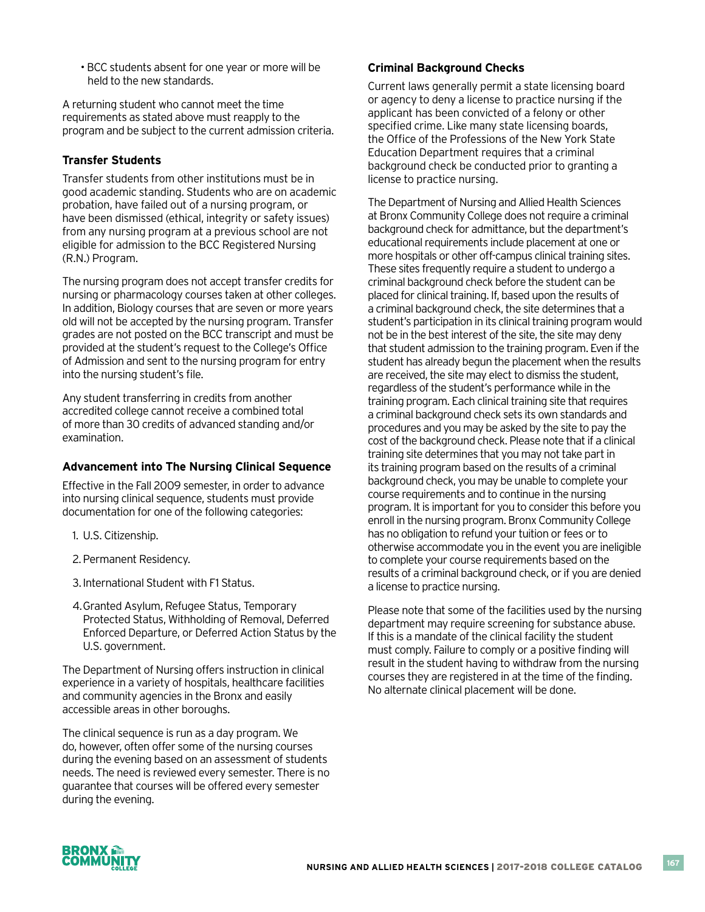• BCC students absent for one year or more will be held to the new standards.

A returning student who cannot meet the time requirements as stated above must reapply to the program and be subject to the current admission criteria.

## **Transfer Students**

Transfer students from other institutions must be in good academic standing. Students who are on academic probation, have failed out of a nursing program, or have been dismissed (ethical, integrity or safety issues) from any nursing program at a previous school are not eligible for admission to the BCC Registered Nursing (R.N.) Program.

The nursing program does not accept transfer credits for nursing or pharmacology courses taken at other colleges. In addition, Biology courses that are seven or more years old will not be accepted by the nursing program. Transfer grades are not posted on the BCC transcript and must be provided at the student's request to the College's Office of Admission and sent to the nursing program for entry into the nursing student's file.

Any student transferring in credits from another accredited college cannot receive a combined total of more than 30 credits of advanced standing and/or examination.

### **Advancement into The Nursing Clinical Sequence**

Effective in the Fall 2009 semester, in order to advance into nursing clinical sequence, students must provide documentation for one of the following categories:

- 1. U.S. Citizenship.
- 2. Permanent Residency.
- 3. International Student with F1 Status.
- 4. Granted Asylum, Refugee Status, Temporary Protected Status, Withholding of Removal, Deferred Enforced Departure, or Deferred Action Status by the U.S. government.

The Department of Nursing offers instruction in clinical experience in a variety of hospitals, healthcare facilities and community agencies in the Bronx and easily accessible areas in other boroughs.

The clinical sequence is run as a day program. We do, however, often offer some of the nursing courses during the evening based on an assessment of students needs. The need is reviewed every semester. There is no guarantee that courses will be offered every semester during the evening.

## **Criminal Background Checks**

Current laws generally permit a state licensing board or agency to deny a license to practice nursing if the applicant has been convicted of a felony or other specified crime. Like many state licensing boards, the Office of the Professions of the New York State Education Department requires that a criminal background check be conducted prior to granting a license to practice nursing.

The Department of Nursing and Allied Health Sciences at Bronx Community College does not require a criminal background check for admittance, but the department's educational requirements include placement at one or more hospitals or other off-campus clinical training sites. These sites frequently require a student to undergo a criminal background check before the student can be placed for clinical training. If, based upon the results of a criminal background check, the site determines that a student's participation in its clinical training program would not be in the best interest of the site, the site may deny that student admission to the training program. Even if the student has already begun the placement when the results are received, the site may elect to dismiss the student, regardless of the student's performance while in the training program. Each clinical training site that requires a criminal background check sets its own standards and procedures and you may be asked by the site to pay the cost of the background check. Please note that if a clinical training site determines that you may not take part in its training program based on the results of a criminal background check, you may be unable to complete your course requirements and to continue in the nursing program. It is important for you to consider this before you enroll in the nursing program. Bronx Community College has no obligation to refund your tuition or fees or to otherwise accommodate you in the event you are ineligible to complete your course requirements based on the results of a criminal background check, or if you are denied a license to practice nursing.

Please note that some of the facilities used by the nursing department may require screening for substance abuse. If this is a mandate of the clinical facility the student must comply. Failure to comply or a positive finding will result in the student having to withdraw from the nursing courses they are registered in at the time of the finding. No alternate clinical placement will be done.

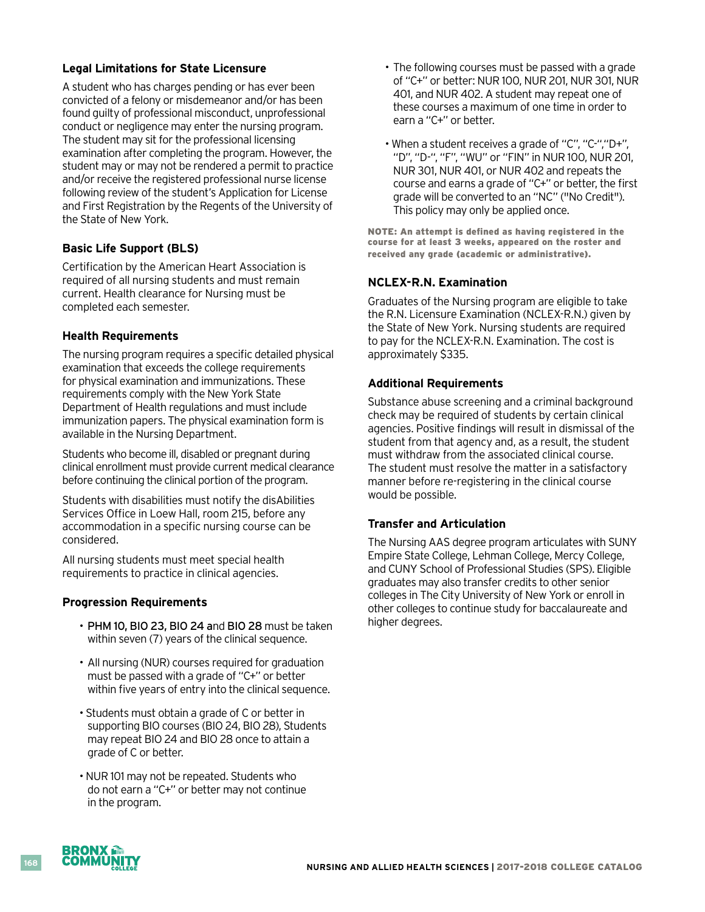### **Legal Limitations for State Licensure**

A student who has charges pending or has ever been convicted of a felony or misdemeanor and/or has been found guilty of professional misconduct, unprofessional conduct or negligence may enter the nursing program. The student may sit for the professional licensing examination after completing the program. However, the student may or may not be rendered a permit to practice and/or receive the registered professional nurse license following review of the student's Application for License and First Registration by the Regents of the University of the State of New York.

# **Basic Life Support (BLS)**

Certification by the American Heart Association is required of all nursing students and must remain current. Health clearance for Nursing must be completed each semester.

### **Health Requirements**

The nursing program requires a specific detailed physical examination that exceeds the college requirements for physical examination and immunizations. These requirements comply with the New York State Department of Health regulations and must include immunization papers. The physical examination form is available in the Nursing Department.

Students who become ill, disabled or pregnant during clinical enrollment must provide current medical clearance before continuing the clinical portion of the program.

Students with disabilities must notify the disAbilities Services Office in Loew Hall, room 215, before any accommodation in a specific nursing course can be considered.

All nursing students must meet special health requirements to practice in clinical agencies.

### **Progression Requirements**

- PHM 10, BIO 23, BIO 24 and BIO 28 must be taken within seven (7) years of the clinical sequence.
- All nursing (NUR) courses required for graduation must be passed with a grade of "C+" or better within five years of entry into the clinical sequence.
- Students must obtain a grade of C or better in supporting BIO courses (BIO 24, BIO 28), Students may repeat BIO 24 and BIO 28 once to attain a grade of C or better.
- NUR 101 may not be repeated. Students who do not earn a "C+" or better may not continue in the program.
- The following courses must be passed with a grade of "C+" or better: NUR 100, NUR 201, NUR 301, NUR 401, and NUR 402. A student may repeat one of these courses a maximum of one time in order to earn a "C+" or better.
- When a student receives a grade of "C", "C-","D+", "D", "D-", "F", "WU" or "FIN" in NUR 100, NUR 201, NUR 301, NUR 401, or NUR 402 and repeats the course and earns a grade of "C+" or better, the first grade will be converted to an "NC" ("No Credit"). This policy may only be applied once.

NOTE: An attempt is defined as having registered in the course for at least 3 weeks, appeared on the roster and received any grade (academic or administrative).

# **NCLEX-R.N. Examination**

Graduates of the Nursing program are eligible to take the R.N. Licensure Examination (NCLEX-R.N.) given by the State of New York. Nursing students are required to pay for the NCLEX-R.N. Examination. The cost is approximately \$335.

### **Additional Requirements**

Substance abuse screening and a criminal background check may be required of students by certain clinical agencies. Positive findings will result in dismissal of the student from that agency and, as a result, the student must withdraw from the associated clinical course. The student must resolve the matter in a satisfactory manner before re-registering in the clinical course would be possible.

### **Transfer and Articulation**

The Nursing AAS degree program articulates with SUNY Empire State College, Lehman College, Mercy College, and CUNY School of Professional Studies (SPS). Eligible graduates may also transfer credits to other senior colleges in The City University of New York or enroll in other colleges to continue study for baccalaureate and higher degrees.